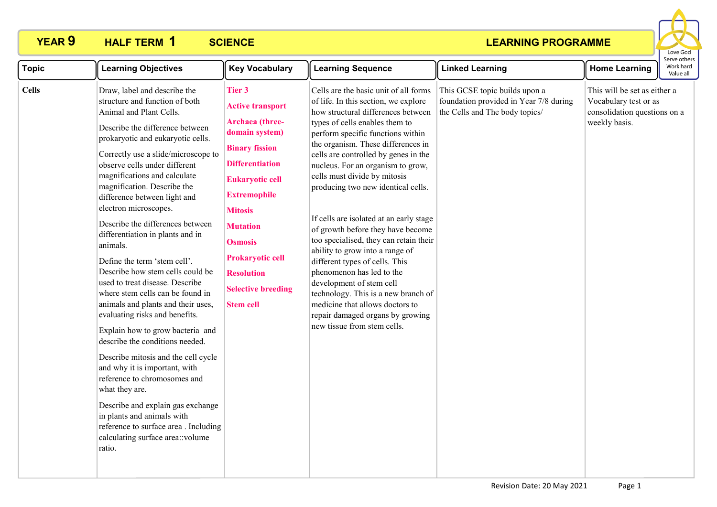# **YEAR 9 HALF TERM 1 SCIENCE**



| <b>Topic</b> | <b>Learning Objectives</b>                                                                                                                                                                                                                                                                                                                                                                                                                                                                                                                                                                                                                                                                                                                                                                                                                                                                                                                                                                                                            | <b>Key Vocabulary</b>                                                                                                                                                                                                                                                                                                              | <b>Learning Sequence</b>                                                                                                                                                                                                                                                                                                                                                                                                                                                                                                                                                                                                                                                                                                                                                                 | <b>Linked Learning</b>                                                                                    | <b>Home Learning</b>                                                                                   | וסוויכ טנווכו<br>Work hard<br>Value all |
|--------------|---------------------------------------------------------------------------------------------------------------------------------------------------------------------------------------------------------------------------------------------------------------------------------------------------------------------------------------------------------------------------------------------------------------------------------------------------------------------------------------------------------------------------------------------------------------------------------------------------------------------------------------------------------------------------------------------------------------------------------------------------------------------------------------------------------------------------------------------------------------------------------------------------------------------------------------------------------------------------------------------------------------------------------------|------------------------------------------------------------------------------------------------------------------------------------------------------------------------------------------------------------------------------------------------------------------------------------------------------------------------------------|------------------------------------------------------------------------------------------------------------------------------------------------------------------------------------------------------------------------------------------------------------------------------------------------------------------------------------------------------------------------------------------------------------------------------------------------------------------------------------------------------------------------------------------------------------------------------------------------------------------------------------------------------------------------------------------------------------------------------------------------------------------------------------------|-----------------------------------------------------------------------------------------------------------|--------------------------------------------------------------------------------------------------------|-----------------------------------------|
| <b>Cells</b> | Draw, label and describe the<br>structure and function of both<br>Animal and Plant Cells.<br>Describe the difference between<br>prokaryotic and eukaryotic cells.<br>Correctly use a slide/microscope to<br>observe cells under different<br>magnifications and calculate<br>magnification. Describe the<br>difference between light and<br>electron microscopes.<br>Describe the differences between<br>differentiation in plants and in<br>animals.<br>Define the term 'stem cell'.<br>Describe how stem cells could be<br>used to treat disease. Describe<br>where stem cells can be found in<br>animals and plants and their uses,<br>evaluating risks and benefits.<br>Explain how to grow bacteria and<br>describe the conditions needed.<br>Describe mitosis and the cell cycle<br>and why it is important, with<br>reference to chromosomes and<br>what they are.<br>Describe and explain gas exchange<br>in plants and animals with<br>reference to surface area . Including<br>calculating surface area: : volume<br>ratio. | Tier 3<br><b>Active transport</b><br>Archaea (three-<br>domain system)<br><b>Binary fission</b><br><b>Differentiation</b><br><b>Eukaryotic cell</b><br><b>Extremophile</b><br><b>Mitosis</b><br><b>Mutation</b><br><b>Osmosis</b><br><b>Prokaryotic cell</b><br><b>Resolution</b><br><b>Selective breeding</b><br><b>Stem cell</b> | Cells are the basic unit of all forms<br>of life. In this section, we explore<br>how structural differences between<br>types of cells enables them to<br>perform specific functions within<br>the organism. These differences in<br>cells are controlled by genes in the<br>nucleus. For an organism to grow,<br>cells must divide by mitosis<br>producing two new identical cells.<br>If cells are isolated at an early stage<br>of growth before they have become<br>too specialised, they can retain their<br>ability to grow into a range of<br>different types of cells. This<br>phenomenon has led to the<br>development of stem cell<br>technology. This is a new branch of<br>medicine that allows doctors to<br>repair damaged organs by growing<br>new tissue from stem cells. | This GCSE topic builds upon a<br>foundation provided in Year 7/8 during<br>the Cells and The body topics/ | This will be set as either a<br>Vocabulary test or as<br>consolidation questions on a<br>weekly basis. |                                         |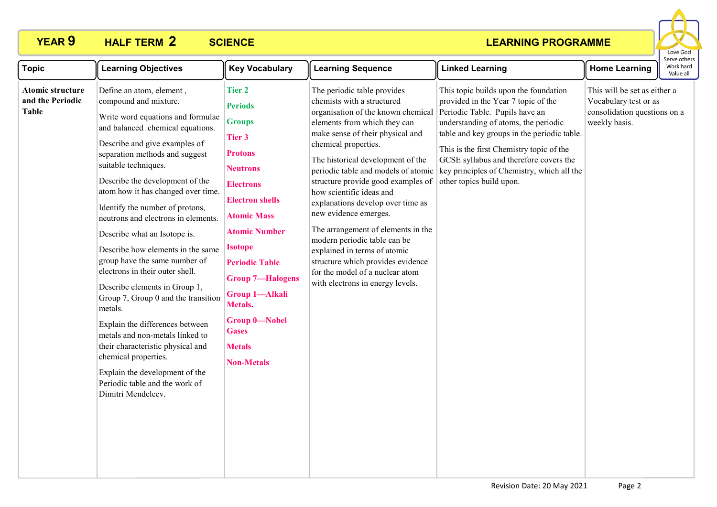# **PEAR 9 HALF TERM 2 SCIENCE**



| <b>Topic</b>                                                | <b>Learning Objectives</b>                                                                                                                                                                                                                                                                                                                                                                                                                                                                                                                                                                                                                                                                                                                                                                                                        | <b>Key Vocabulary</b>                                                                                                                                                                                                                                                                                                                                                               | <b>Learning Sequence</b>                                                                                                                                                                                                                                                                                                                                                                                                                                                                                                                                                                                                  | <b>Linked Learning</b>                                                                                                                                                                                                                                                                                                                                                | <b>Home Learning</b>                                                                                   | serve others<br>Work hard<br>Value all |
|-------------------------------------------------------------|-----------------------------------------------------------------------------------------------------------------------------------------------------------------------------------------------------------------------------------------------------------------------------------------------------------------------------------------------------------------------------------------------------------------------------------------------------------------------------------------------------------------------------------------------------------------------------------------------------------------------------------------------------------------------------------------------------------------------------------------------------------------------------------------------------------------------------------|-------------------------------------------------------------------------------------------------------------------------------------------------------------------------------------------------------------------------------------------------------------------------------------------------------------------------------------------------------------------------------------|---------------------------------------------------------------------------------------------------------------------------------------------------------------------------------------------------------------------------------------------------------------------------------------------------------------------------------------------------------------------------------------------------------------------------------------------------------------------------------------------------------------------------------------------------------------------------------------------------------------------------|-----------------------------------------------------------------------------------------------------------------------------------------------------------------------------------------------------------------------------------------------------------------------------------------------------------------------------------------------------------------------|--------------------------------------------------------------------------------------------------------|----------------------------------------|
| <b>Atomic structure</b><br>and the Periodic<br><b>Table</b> | Define an atom, element,<br>compound and mixture.<br>Write word equations and formulae<br>and balanced chemical equations.<br>Describe and give examples of<br>separation methods and suggest<br>suitable techniques.<br>Describe the development of the<br>atom how it has changed over time.<br>Identify the number of protons,<br>neutrons and electrons in elements.<br>Describe what an Isotope is.<br>Describe how elements in the same<br>group have the same number of<br>electrons in their outer shell.<br>Describe elements in Group 1,<br>Group 7, Group 0 and the transition<br>metals.<br>Explain the differences between<br>metals and non-metals linked to<br>their characteristic physical and<br>chemical properties.<br>Explain the development of the<br>Periodic table and the work of<br>Dimitri Mendeleev. | <b>Tier 2</b><br><b>Periods</b><br><b>Groups</b><br>Tier 3<br><b>Protons</b><br><b>Neutrons</b><br><b>Electrons</b><br><b>Electron shells</b><br><b>Atomic Mass</b><br><b>Atomic Number</b><br><b>Isotope</b><br><b>Periodic Table</b><br><b>Group 7-Halogens</b><br><b>Group 1-Alkali</b><br>Metals.<br><b>Group 0-Nobel</b><br><b>Gases</b><br><b>Metals</b><br><b>Non-Metals</b> | The periodic table provides<br>chemists with a structured<br>organisation of the known chemical<br>elements from which they can<br>make sense of their physical and<br>chemical properties.<br>The historical development of the<br>periodic table and models of atomic<br>structure provide good examples of<br>how scientific ideas and<br>explanations develop over time as<br>new evidence emerges.<br>The arrangement of elements in the<br>modern periodic table can be<br>explained in terms of atomic<br>structure which provides evidence<br>for the model of a nuclear atom<br>with electrons in energy levels. | This topic builds upon the foundation<br>provided in the Year 7 topic of the<br>Periodic Table. Pupils have an<br>understanding of atoms, the periodic<br>table and key groups in the periodic table.<br>This is the first Chemistry topic of the<br>GCSE syllabus and therefore covers the<br>key principles of Chemistry, which all the<br>other topics build upon. | This will be set as either a<br>Vocabulary test or as<br>consolidation questions on a<br>weekly basis. |                                        |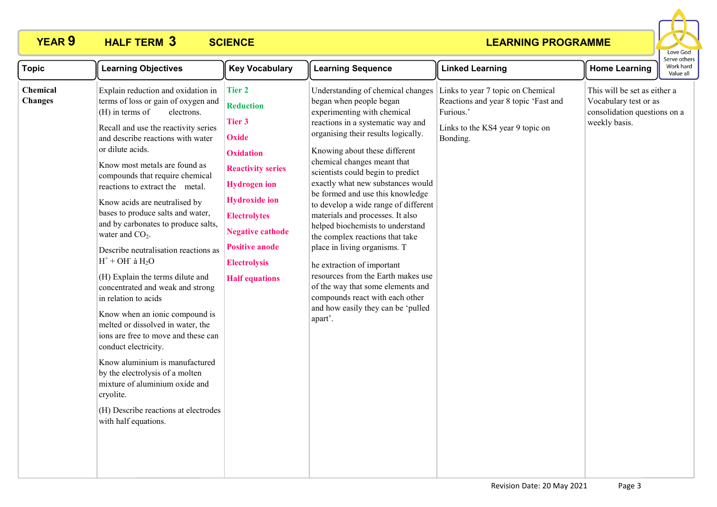# **YEAR 9 HALF TERM SCIENCE 3**



| <b>Topic</b>               | <b>Learning Objectives</b>                                                                                                                                                                                                                                                                                                                                                                                                                                                                                                                                                                                                                                                                                                                                                                                                                                                                                                                                        | <b>Key Vocabulary</b>                                                                                                                                                                                                                                                                 | <b>Learning Sequence</b>                                                                                                                                                                                                                                                                                                                                                                                                                                                                                                                                                                                                                                                                                                              | <b>Linked Learning</b>                                                                                                                 | <b>Home Learning</b>                                                                                   | Serve other<br>Work hard<br>Value all |
|----------------------------|-------------------------------------------------------------------------------------------------------------------------------------------------------------------------------------------------------------------------------------------------------------------------------------------------------------------------------------------------------------------------------------------------------------------------------------------------------------------------------------------------------------------------------------------------------------------------------------------------------------------------------------------------------------------------------------------------------------------------------------------------------------------------------------------------------------------------------------------------------------------------------------------------------------------------------------------------------------------|---------------------------------------------------------------------------------------------------------------------------------------------------------------------------------------------------------------------------------------------------------------------------------------|---------------------------------------------------------------------------------------------------------------------------------------------------------------------------------------------------------------------------------------------------------------------------------------------------------------------------------------------------------------------------------------------------------------------------------------------------------------------------------------------------------------------------------------------------------------------------------------------------------------------------------------------------------------------------------------------------------------------------------------|----------------------------------------------------------------------------------------------------------------------------------------|--------------------------------------------------------------------------------------------------------|---------------------------------------|
| Chemical<br><b>Changes</b> | Explain reduction and oxidation in<br>terms of loss or gain of oxygen and<br>$(H)$ in terms of<br>electrons.<br>Recall and use the reactivity series<br>and describe reactions with water<br>or dilute acids.<br>Know most metals are found as<br>compounds that require chemical<br>reactions to extract the metal.<br>Know acids are neutralised by<br>bases to produce salts and water,<br>and by carbonates to produce salts,<br>water and $CO2$ .<br>Describe neutralisation reactions as<br>$H^+$ + OH $\dot{a}$ H <sub>2</sub> O<br>(H) Explain the terms dilute and<br>concentrated and weak and strong<br>in relation to acids<br>Know when an ionic compound is<br>melted or dissolved in water, the<br>ions are free to move and these can<br>conduct electricity.<br>Know aluminium is manufactured<br>by the electrolysis of a molten<br>mixture of aluminium oxide and<br>cryolite.<br>(H) Describe reactions at electrodes<br>with half equations. | <b>Tier 2</b><br><b>Reduction</b><br>Tier 3<br><b>Oxide</b><br><b>Oxidation</b><br><b>Reactivity series</b><br><b>Hydrogen</b> ion<br><b>Hydroxide</b> ion<br><b>Electrolytes</b><br><b>Negative cathode</b><br><b>Positive anode</b><br><b>Electrolysis</b><br><b>Half equations</b> | Understanding of chemical changes<br>began when people began<br>experimenting with chemical<br>reactions in a systematic way and<br>organising their results logically.<br>Knowing about these different<br>chemical changes meant that<br>scientists could begin to predict<br>exactly what new substances would<br>be formed and use this knowledge<br>to develop a wide range of different<br>materials and processes. It also<br>helped biochemists to understand<br>the complex reactions that take<br>place in living organisms. T<br>he extraction of important<br>resources from the Earth makes use<br>of the way that some elements and<br>compounds react with each other<br>and how easily they can be 'pulled<br>apart'. | Links to year 7 topic on Chemical<br>Reactions and year 8 topic 'Fast and<br>Furious.'<br>Links to the KS4 year 9 topic on<br>Bonding. | This will be set as either a<br>Vocabulary test or as<br>consolidation questions on a<br>weekly basis. |                                       |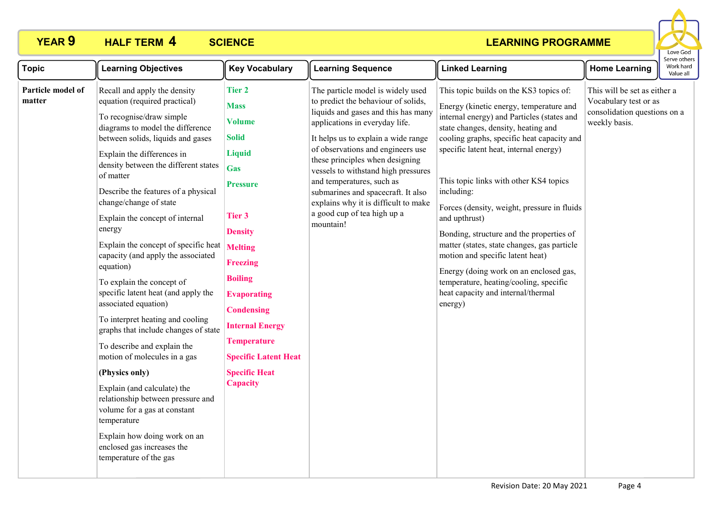# **PEAR 9 HALF TERM 4 SCIENCE**



| <b>Topic</b>                | <b>Learning Objectives</b>                                                                                                                                                                                                                                                                                                                                                                                                                                                                                                                                                                                                                                                                                                                                                                                                                                                                                                                   | <b>Key Vocabulary</b>                                                                                                                                                                                                                                                                                                                                 | <b>Learning Sequence</b>                                                                                                                                                                                                                                                                                                                                                                                                                                       | <b>Linked Learning</b>                                                                                                                                                                                                                                                                                                                                                                                                                                                                                                                                                                                                                                      | <b>Home Learning</b>                                                                                   | Serve other:<br>Work hard<br>Value all |
|-----------------------------|----------------------------------------------------------------------------------------------------------------------------------------------------------------------------------------------------------------------------------------------------------------------------------------------------------------------------------------------------------------------------------------------------------------------------------------------------------------------------------------------------------------------------------------------------------------------------------------------------------------------------------------------------------------------------------------------------------------------------------------------------------------------------------------------------------------------------------------------------------------------------------------------------------------------------------------------|-------------------------------------------------------------------------------------------------------------------------------------------------------------------------------------------------------------------------------------------------------------------------------------------------------------------------------------------------------|----------------------------------------------------------------------------------------------------------------------------------------------------------------------------------------------------------------------------------------------------------------------------------------------------------------------------------------------------------------------------------------------------------------------------------------------------------------|-------------------------------------------------------------------------------------------------------------------------------------------------------------------------------------------------------------------------------------------------------------------------------------------------------------------------------------------------------------------------------------------------------------------------------------------------------------------------------------------------------------------------------------------------------------------------------------------------------------------------------------------------------------|--------------------------------------------------------------------------------------------------------|----------------------------------------|
| Particle model of<br>matter | Recall and apply the density<br>equation (required practical)<br>To recognise/draw simple<br>diagrams to model the difference<br>between solids, liquids and gases<br>Explain the differences in<br>density between the different states<br>of matter<br>Describe the features of a physical<br>change/change of state<br>Explain the concept of internal<br>energy<br>Explain the concept of specific heat $Melting$<br>capacity (and apply the associated<br>equation)<br>To explain the concept of<br>specific latent heat (and apply the<br>associated equation)<br>To interpret heating and cooling<br>graphs that include changes of state<br>To describe and explain the<br>motion of molecules in a gas<br>(Physics only)<br>Explain (and calculate) the<br>relationship between pressure and<br>volume for a gas at constant<br>temperature<br>Explain how doing work on an<br>enclosed gas increases the<br>temperature of the gas | <b>Tier 2</b><br><b>Mass</b><br><b>Volume</b><br><b>Solid</b><br><b>Liquid</b><br>Gas<br><b>Pressure</b><br><b>Tier 3</b><br><b>Density</b><br><b>Freezing</b><br><b>Boiling</b><br><b>Evaporating</b><br><b>Condensing</b><br><b>Internal Energy</b><br><b>Temperature</b><br><b>Specific Latent Heat</b><br><b>Specific Heat</b><br><b>Capacity</b> | The particle model is widely used<br>to predict the behaviour of solids,<br>liquids and gases and this has many<br>applications in everyday life.<br>It helps us to explain a wide range<br>of observations and engineers use<br>these principles when designing<br>vessels to withstand high pressures<br>and temperatures, such as<br>submarines and spacecraft. It also<br>explains why it is difficult to make<br>a good cup of tea high up a<br>mountain! | This topic builds on the KS3 topics of:<br>Energy (kinetic energy, temperature and<br>internal energy) and Particles (states and<br>state changes, density, heating and<br>cooling graphs, specific heat capacity and<br>specific latent heat, internal energy)<br>This topic links with other KS4 topics<br>including:<br>Forces (density, weight, pressure in fluids<br>and upthrust)<br>Bonding, structure and the properties of<br>matter (states, state changes, gas particle<br>motion and specific latent heat)<br>Energy (doing work on an enclosed gas,<br>temperature, heating/cooling, specific<br>heat capacity and internal/thermal<br>energy) | This will be set as either a<br>Vocabulary test or as<br>consolidation questions on a<br>weekly basis. |                                        |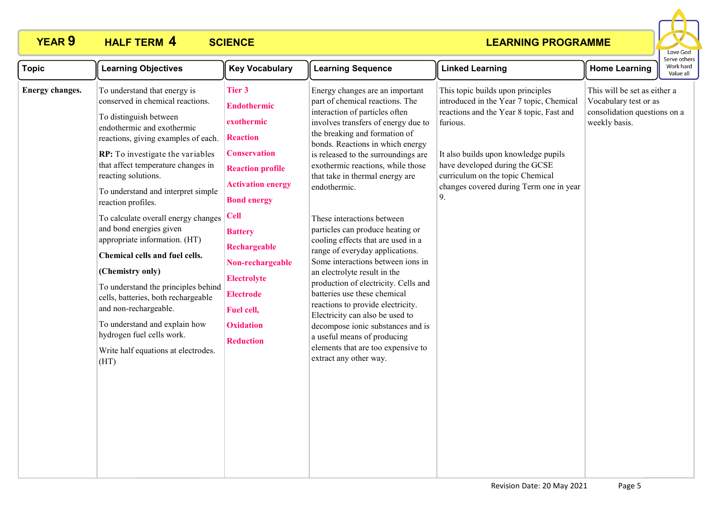# **PEAR 9 HALF TERM 4 SCIENCE**



| <b>Topic</b>    | <b>Learning Objectives</b>                                                                                                                                                                                                                                                                                                                                                                                                                                                                                                                                                                                                                                                                                | <b>Key Vocabulary</b>                                                                                                                                                                                                                                                                                                                         | <b>Learning Sequence</b>                                                                                                                                                                                                                                                                                                                                                                                                                                                                                                                                                                                                                                                                                                                                                                                                                            | <b>Linked Learning</b>                                                                                                                                                                                                                                                                               | <b>Home Learning</b>                                                                                   | serve otrier<br>Work hard<br>Value all |
|-----------------|-----------------------------------------------------------------------------------------------------------------------------------------------------------------------------------------------------------------------------------------------------------------------------------------------------------------------------------------------------------------------------------------------------------------------------------------------------------------------------------------------------------------------------------------------------------------------------------------------------------------------------------------------------------------------------------------------------------|-----------------------------------------------------------------------------------------------------------------------------------------------------------------------------------------------------------------------------------------------------------------------------------------------------------------------------------------------|-----------------------------------------------------------------------------------------------------------------------------------------------------------------------------------------------------------------------------------------------------------------------------------------------------------------------------------------------------------------------------------------------------------------------------------------------------------------------------------------------------------------------------------------------------------------------------------------------------------------------------------------------------------------------------------------------------------------------------------------------------------------------------------------------------------------------------------------------------|------------------------------------------------------------------------------------------------------------------------------------------------------------------------------------------------------------------------------------------------------------------------------------------------------|--------------------------------------------------------------------------------------------------------|----------------------------------------|
| Energy changes. | To understand that energy is<br>conserved in chemical reactions.<br>To distinguish between<br>endothermic and exothermic<br>reactions, giving examples of each.<br>RP: To investigate the variables<br>that affect temperature changes in<br>reacting solutions.<br>To understand and interpret simple<br>reaction profiles.<br>To calculate overall energy changes<br>and bond energies given<br>appropriate information. (HT)<br>Chemical cells and fuel cells.<br>(Chemistry only)<br>To understand the principles behind<br>cells, batteries, both rechargeable<br>and non-rechargeable.<br>To understand and explain how<br>hydrogen fuel cells work.<br>Write half equations at electrodes.<br>(HT) | <b>Tier 3</b><br><b>Endothermic</b><br>exothermic<br><b>Reaction</b><br><b>Conservation</b><br><b>Reaction profile</b><br><b>Activation energy</b><br><b>Bond energy</b><br><b>Cell</b><br><b>Battery</b><br>Rechargeable<br>Non-rechargeable<br><b>Electrolyte</b><br><b>Electrode</b><br>Fuel cell,<br><b>Oxidation</b><br><b>Reduction</b> | Energy changes are an important<br>part of chemical reactions. The<br>interaction of particles often<br>involves transfers of energy due to<br>the breaking and formation of<br>bonds. Reactions in which energy<br>is released to the surroundings are<br>exothermic reactions, while those<br>that take in thermal energy are<br>endothermic.<br>These interactions between<br>particles can produce heating or<br>cooling effects that are used in a<br>range of everyday applications.<br>Some interactions between ions in<br>an electrolyte result in the<br>production of electricity. Cells and<br>batteries use these chemical<br>reactions to provide electricity.<br>Electricity can also be used to<br>decompose ionic substances and is<br>a useful means of producing<br>elements that are too expensive to<br>extract any other way. | This topic builds upon principles<br>introduced in the Year 7 topic, Chemical<br>reactions and the Year 8 topic, Fast and<br>furious.<br>It also builds upon knowledge pupils<br>have developed during the GCSE<br>curriculum on the topic Chemical<br>changes covered during Term one in year<br>9. | This will be set as either a<br>Vocabulary test or as<br>consolidation questions on a<br>weekly basis. |                                        |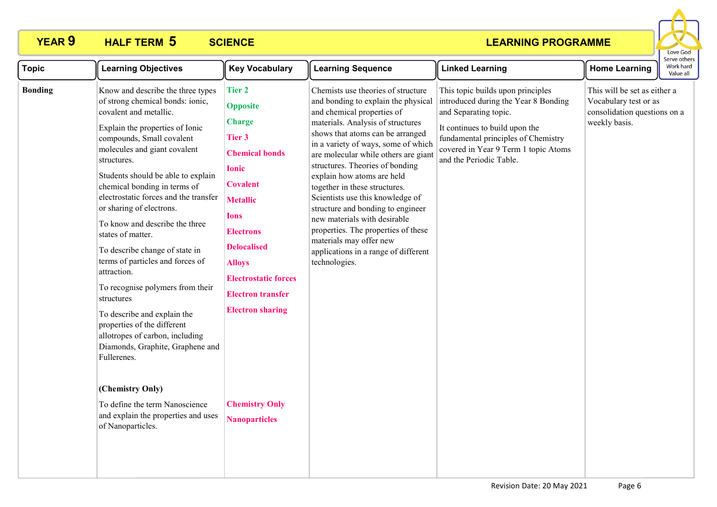# **YEAR 9 HALF TERM SCIENCE 5**



| <b>Topic</b>   | <b>Learning Objectives</b>                                                                                                                                                                                                                                                                                                                                                                                                                                                                                                                                                                                                                                                                                                                                                                                                    | <b>Key Vocabulary</b>                                                                                                                                                                                                                                                                                                                                              | <b>Learning Sequence</b>                                                                                                                                                                                                                                                                                                                                                                                                                                                                                                                                                                              | <b>Linked Learning</b>                                                                                                                                                                                                                         | <b>Home Learning</b>                                                                                   | Serve other:<br>Work hard<br>Value all |
|----------------|-------------------------------------------------------------------------------------------------------------------------------------------------------------------------------------------------------------------------------------------------------------------------------------------------------------------------------------------------------------------------------------------------------------------------------------------------------------------------------------------------------------------------------------------------------------------------------------------------------------------------------------------------------------------------------------------------------------------------------------------------------------------------------------------------------------------------------|--------------------------------------------------------------------------------------------------------------------------------------------------------------------------------------------------------------------------------------------------------------------------------------------------------------------------------------------------------------------|-------------------------------------------------------------------------------------------------------------------------------------------------------------------------------------------------------------------------------------------------------------------------------------------------------------------------------------------------------------------------------------------------------------------------------------------------------------------------------------------------------------------------------------------------------------------------------------------------------|------------------------------------------------------------------------------------------------------------------------------------------------------------------------------------------------------------------------------------------------|--------------------------------------------------------------------------------------------------------|----------------------------------------|
| <b>Bonding</b> | Know and describe the three types<br>of strong chemical bonds: ionic,<br>covalent and metallic.<br>Explain the properties of Ionic<br>compounds, Small covalent<br>molecules and giant covalent<br>structures.<br>Students should be able to explain<br>chemical bonding in terms of<br>electrostatic forces and the transfer<br>or sharing of electrons.<br>To know and describe the three<br>states of matter.<br>To describe change of state in<br>terms of particles and forces of<br>attraction.<br>To recognise polymers from their<br>structures<br>To describe and explain the<br>properties of the different<br>allotropes of carbon, including<br>Diamonds, Graphite, Graphene and<br>Fullerenes.<br>(Chemistry Only)<br>To define the term Nanoscience<br>and explain the properties and uses<br>of Nanoparticles. | <b>Tier 2</b><br><b>Opposite</b><br><b>Charge</b><br><b>Tier 3</b><br><b>Chemical bonds</b><br><b>Ionic</b><br><b>Covalent</b><br><b>Metallic</b><br><b>Ions</b><br><b>Electrons</b><br><b>Delocalised</b><br><b>Alloys</b><br><b>Electrostatic forces</b><br><b>Electron transfer</b><br><b>Electron sharing</b><br><b>Chemistry Only</b><br><b>Nanoparticles</b> | Chemists use theories of structure<br>and bonding to explain the physical<br>and chemical properties of<br>materials. Analysis of structures<br>shows that atoms can be arranged<br>in a variety of ways, some of which<br>are molecular while others are giant<br>structures. Theories of bonding<br>explain how atoms are held<br>together in these structures.<br>Scientists use this knowledge of<br>structure and bonding to engineer<br>new materials with desirable<br>properties. The properties of these<br>materials may offer new<br>applications in a range of different<br>technologies. | This topic builds upon principles<br>introduced during the Year 8 Bonding<br>and Separating topic.<br>It continues to build upon the<br>fundamental principles of Chemistry<br>covered in Year 9 Term 1 topic Atoms<br>and the Periodic Table. | This will be set as either a<br>Vocabulary test or as<br>consolidation questions on a<br>weekly basis. |                                        |